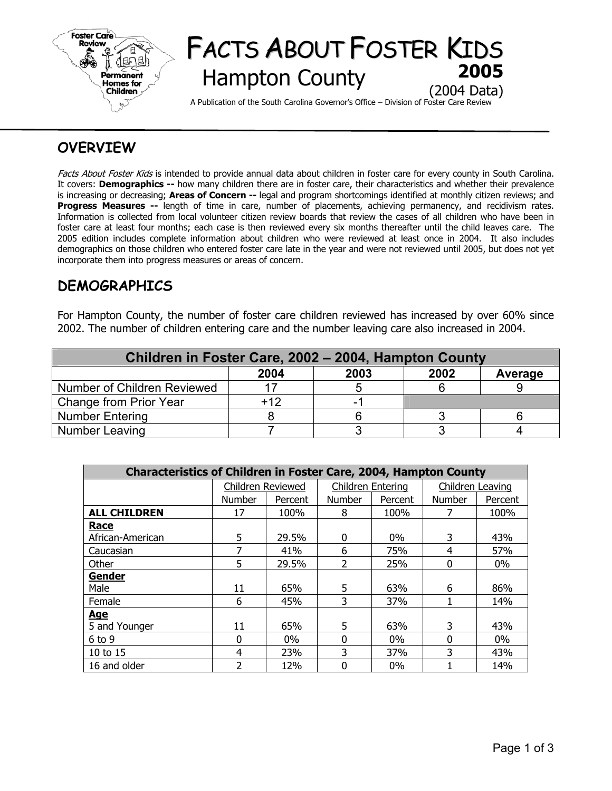

# FACTS ABOUT FOSTER KIDS **Hampton County** (2004 Data)

A Publication of the South Carolina Governor's Office – Division of Foster Care Review

## **OVERVIEW**

Facts About Foster Kids is intended to provide annual data about children in foster care for every county in South Carolina. It covers: **Demographics --** how many children there are in foster care, their characteristics and whether their prevalence is increasing or decreasing; **Areas of Concern --** legal and program shortcomings identified at monthly citizen reviews; and **Progress Measures --** length of time in care, number of placements, achieving permanency, and recidivism rates. Information is collected from local volunteer citizen review boards that review the cases of all children who have been in foster care at least four months; each case is then reviewed every six months thereafter until the child leaves care. The 2005 edition includes complete information about children who were reviewed at least once in 2004. It also includes demographics on those children who entered foster care late in the year and were not reviewed until 2005, but does not yet incorporate them into progress measures or areas of concern.

### **DEMOGRAPHICS**

For Hampton County, the number of foster care children reviewed has increased by over 60% since 2002. The number of children entering care and the number leaving care also increased in 2004.

| Children in Foster Care, 2002 - 2004, Hampton County |       |      |      |         |  |  |  |  |
|------------------------------------------------------|-------|------|------|---------|--|--|--|--|
|                                                      | 2004  | 2003 | 2002 | Average |  |  |  |  |
| Number of Children Reviewed                          |       |      |      |         |  |  |  |  |
| Change from Prior Year                               | $+12$ |      |      |         |  |  |  |  |
| <b>Number Entering</b>                               |       |      |      |         |  |  |  |  |
| Number Leaving                                       |       |      |      |         |  |  |  |  |

| <b>Characteristics of Children in Foster Care, 2004, Hampton County</b> |                   |         |                   |         |                  |         |  |  |  |
|-------------------------------------------------------------------------|-------------------|---------|-------------------|---------|------------------|---------|--|--|--|
|                                                                         | Children Reviewed |         | Children Entering |         | Children Leaving |         |  |  |  |
|                                                                         | <b>Number</b>     | Percent | <b>Number</b>     | Percent | <b>Number</b>    | Percent |  |  |  |
| <b>ALL CHILDREN</b>                                                     | 17                | 100%    | 8                 | 100%    |                  | 100%    |  |  |  |
| Race                                                                    |                   |         |                   |         |                  |         |  |  |  |
| African-American                                                        | 5                 | 29.5%   | 0                 | $0\%$   | 3                | 43%     |  |  |  |
| Caucasian                                                               | 7                 | 41%     | 6                 | 75%     | 4                | 57%     |  |  |  |
| Other                                                                   | 5                 | 29.5%   | $\overline{2}$    | 25%     | $\Omega$         | $0\%$   |  |  |  |
| Gender                                                                  |                   |         |                   |         |                  |         |  |  |  |
| Male                                                                    | 11                | 65%     | 5                 | 63%     | 6                | 86%     |  |  |  |
| Female                                                                  | 6                 | 45%     | 3                 | 37%     |                  | 14%     |  |  |  |
| <u>Age</u>                                                              |                   |         |                   |         |                  |         |  |  |  |
| 5 and Younger                                                           | 11                | 65%     | 5                 | 63%     | 3                | 43%     |  |  |  |
| $6$ to $9$                                                              | $\Omega$          | $0\%$   | $\Omega$          | $0\%$   | <sup>0</sup>     | $0\%$   |  |  |  |
| 10 to 15                                                                | 4                 | 23%     | 3                 | 37%     | 3                | 43%     |  |  |  |
| 16 and older                                                            | $\overline{2}$    | 12%     | 0                 | 0%      |                  | 14%     |  |  |  |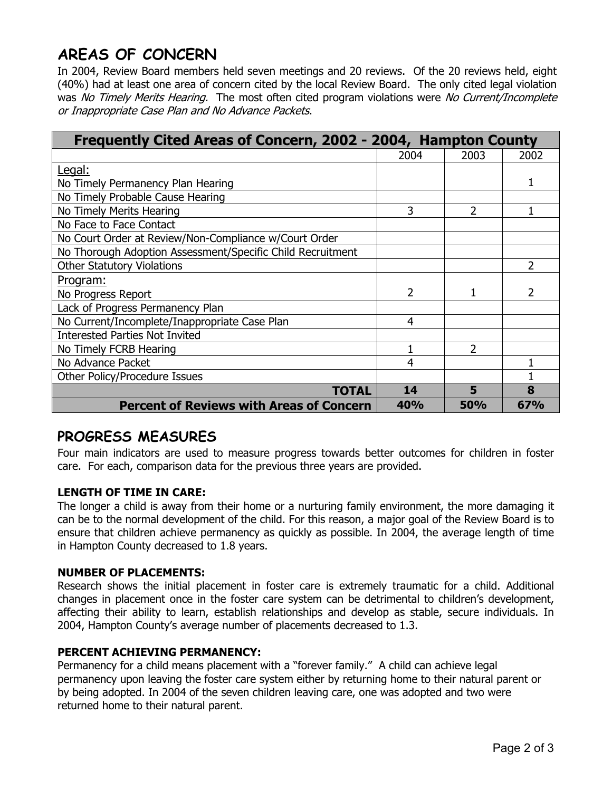# **AREAS OF CONCERN**

In 2004, Review Board members held seven meetings and 20 reviews. Of the 20 reviews held, eight (40%) had at least one area of concern cited by the local Review Board. The only cited legal violation was No Timely Merits Hearing. The most often cited program violations were No Current/Incomplete or Inappropriate Case Plan and No Advance Packets.

| Frequently Cited Areas of Concern, 2002 - 2004, Hampton County |      |            |      |  |
|----------------------------------------------------------------|------|------------|------|--|
|                                                                | 2004 | 2003       | 2002 |  |
| Legal:                                                         |      |            |      |  |
| No Timely Permanency Plan Hearing                              |      |            |      |  |
| No Timely Probable Cause Hearing                               |      |            |      |  |
| No Timely Merits Hearing                                       | 3    | 2          | 1    |  |
| No Face to Face Contact                                        |      |            |      |  |
| No Court Order at Review/Non-Compliance w/Court Order          |      |            |      |  |
| No Thorough Adoption Assessment/Specific Child Recruitment     |      |            |      |  |
| <b>Other Statutory Violations</b>                              |      |            | 2    |  |
| <u>Program:</u>                                                |      |            |      |  |
| No Progress Report                                             | 2    |            | 2    |  |
| Lack of Progress Permanency Plan                               |      |            |      |  |
| No Current/Incomplete/Inappropriate Case Plan                  | 4    |            |      |  |
| <b>Interested Parties Not Invited</b>                          |      |            |      |  |
| No Timely FCRB Hearing                                         |      | 2          |      |  |
| No Advance Packet                                              | 4    |            | 1    |  |
| Other Policy/Procedure Issues                                  |      |            |      |  |
| <b>TOTAL</b>                                                   | 14   | 5          | 8    |  |
| <b>Percent of Reviews with Areas of Concern</b>                | 40%  | <b>50%</b> | 67%  |  |

### **PROGRESS MEASURES**

Four main indicators are used to measure progress towards better outcomes for children in foster care. For each, comparison data for the previous three years are provided.

### **LENGTH OF TIME IN CARE:**

The longer a child is away from their home or a nurturing family environment, the more damaging it can be to the normal development of the child. For this reason, a major goal of the Review Board is to ensure that children achieve permanency as quickly as possible. In 2004, the average length of time in Hampton County decreased to 1.8 years.

### **NUMBER OF PLACEMENTS:**

Research shows the initial placement in foster care is extremely traumatic for a child. Additional changes in placement once in the foster care system can be detrimental to children's development, affecting their ability to learn, establish relationships and develop as stable, secure individuals. In 2004, Hampton County's average number of placements decreased to 1.3.

### **PERCENT ACHIEVING PERMANENCY:**

Permanency for a child means placement with a "forever family." A child can achieve legal permanency upon leaving the foster care system either by returning home to their natural parent or by being adopted. In 2004 of the seven children leaving care, one was adopted and two were returned home to their natural parent.